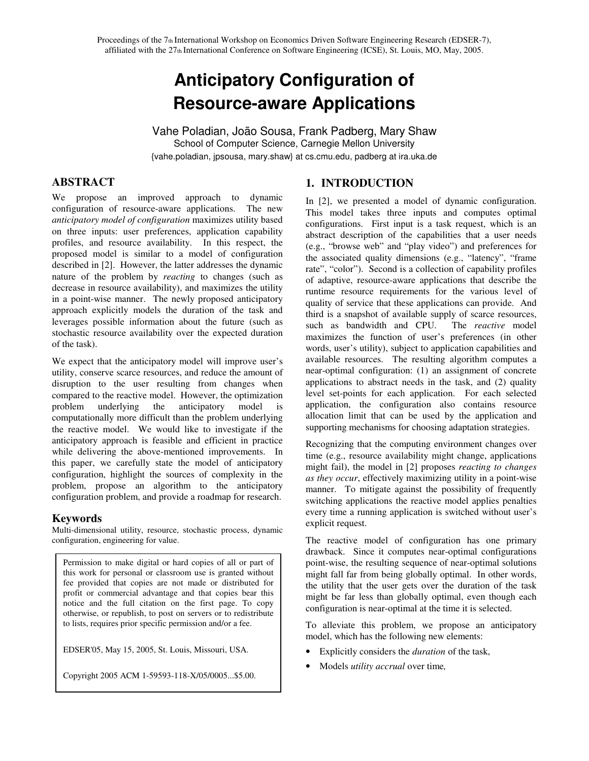# **Anticipatory Configuration of Resource-aware Applications**

Vahe Poladian, João Sousa, Frank Padberg, Mary Shaw School of Computer Science, Carnegie Mellon University {vahe.poladian, jpsousa, mary.shaw} at cs.cmu.edu, padberg at ira.uka.de

## **ABSTRACT**

We propose an improved approach to dynamic configuration of resource-aware applications. The new *anticipatory model of configuration* maximizes utility based on three inputs: user preferences, application capability profiles, and resource availability. In this respect, the proposed model is similar to a model of configuration described in [2]. However, the latter addresses the dynamic nature of the problem by *reacting* to changes (such as decrease in resource availability), and maximizes the utility in a point-wise manner. The newly proposed anticipatory approach explicitly models the duration of the task and leverages possible information about the future (such as stochastic resource availability over the expected duration of the task).

We expect that the anticipatory model will improve user's utility, conserve scarce resources, and reduce the amount of disruption to the user resulting from changes when compared to the reactive model. However, the optimization problem underlying the anticipatory model is computationally more difficult than the problem underlying the reactive model. We would like to investigate if the anticipatory approach is feasible and efficient in practice while delivering the above-mentioned improvements. In this paper, we carefully state the model of anticipatory configuration, highlight the sources of complexity in the problem, propose an algorithm to the anticipatory configuration problem, and provide a roadmap for research.

#### **Keywords**

Multi-dimensional utility, resource, stochastic process, dynamic configuration, engineering for value.

Permission to make digital or hard copies of all or part of this work for personal or classroom use is granted without fee provided that copies are not made or distributed for profit or commercial advantage and that copies bear this notice and the full citation on the first page. To copy otherwise, or republish, to post on servers or to redistribute to lists, requires prior specific permission and/or a fee.

EDSER'05, May 15, 2005, St. Louis, Missouri, USA.

Copyright 2005 ACM 1-59593-118-X/05/0005...\$5.00.

# **1. INTRODUCTION**

In [2], we presented a model of dynamic configuration. This model takes three inputs and computes optimal configurations. First input is a task request, which is an abstract description of the capabilities that a user needs (e.g., "browse web" and "play video") and preferences for the associated quality dimensions (e.g., "latency", "frame rate", "color"). Second is a collection of capability profiles of adaptive, resource-aware applications that describe the runtime resource requirements for the various level of quality of service that these applications can provide. And third is a snapshot of available supply of scarce resources, such as bandwidth and CPU. The *reactive* model maximizes the function of user's preferences (in other words, user's utility), subject to application capabilities and available resources. The resulting algorithm computes a near-optimal configuration: (1) an assignment of concrete applications to abstract needs in the task, and (2) quality level set-points for each application. For each selected application, the configuration also contains resource allocation limit that can be used by the application and supporting mechanisms for choosing adaptation strategies.

Recognizing that the computing environment changes over time (e.g., resource availability might change, applications might fail), the model in [2] proposes *reacting to changes as they occur*, effectively maximizing utility in a point-wise manner. To mitigate against the possibility of frequently switching applications the reactive model applies penalties every time a running application is switched without user's explicit request.

The reactive model of configuration has one primary drawback. Since it computes near-optimal configurations point-wise, the resulting sequence of near-optimal solutions might fall far from being globally optimal. In other words, the utility that the user gets over the duration of the task might be far less than globally optimal, even though each configuration is near-optimal at the time it is selected.

To alleviate this problem, we propose an anticipatory model, which has the following new elements:

- Explicitly considers the *duration* of the task,
- Models *utility accrual* over time*,*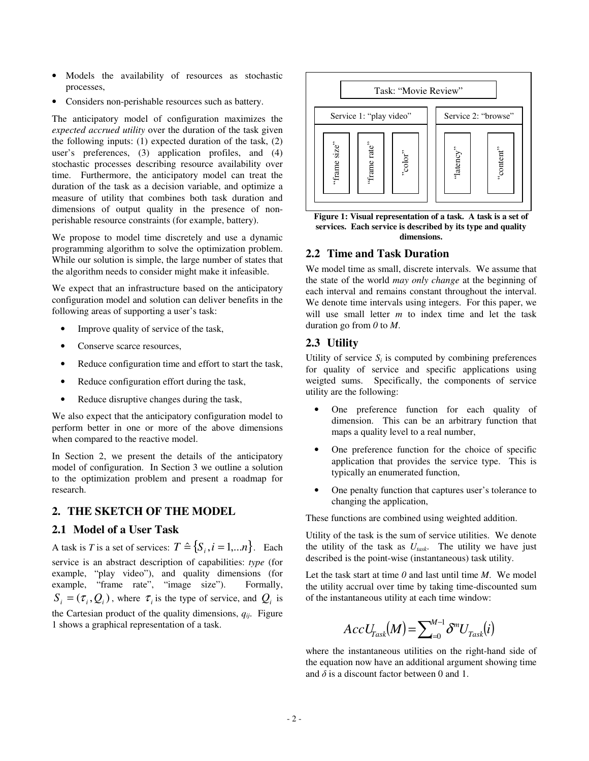- Models the availability of resources as stochastic processes,
- Considers non-perishable resources such as battery.

The anticipatory model of configuration maximizes the *expected accrued utility* over the duration of the task given the following inputs: (1) expected duration of the task, (2) user's preferences, (3) application profiles, and (4) stochastic processes describing resource availability over time. Furthermore, the anticipatory model can treat the duration of the task as a decision variable, and optimize a measure of utility that combines both task duration and dimensions of output quality in the presence of nonperishable resource constraints (for example, battery).

We propose to model time discretely and use a dynamic programming algorithm to solve the optimization problem. While our solution is simple, the large number of states that the algorithm needs to consider might make it infeasible.

We expect that an infrastructure based on the anticipatory configuration model and solution can deliver benefits in the following areas of supporting a user's task:

- Improve quality of service of the task,
- Conserve scarce resources.
- Reduce configuration time and effort to start the task,
- Reduce configuration effort during the task,
- Reduce disruptive changes during the task,

We also expect that the anticipatory configuration model to perform better in one or more of the above dimensions when compared to the reactive model.

In Section 2, we present the details of the anticipatory model of configuration. In Section 3 we outline a solution to the optimization problem and present a roadmap for research.

#### **2. THE SKETCH OF THE MODEL**

#### **2.1 Model of a User Task**

A task is *T* is a set of services:  $T \triangleq \{S_i, i = 1,...n\}$ . Each service is an abstract description of capabilities: *type* (for example, "play video"), and quality dimensions (for example, "frame rate", "image size"). Formally,  $S_i = (\tau_i, Q_i)$ , where  $\tau_i$  is the type of service, and  $Q_i$  is the Cartesian product of the quality dimensions, *qij* . Figure 1 shows a graphical representation of a task.



**Figure 1: Visual representation of a task. A task is a set of services. Each service is described by its type and quality dimensions.**

#### **2.2 Time and Task Duration**

We model time as small, discrete intervals. We assume that the state of the world *may only change* at the beginning of each interval and remains constant throughout the interval. We denote time intervals using integers. For this paper, we will use small letter *m* to index time and let the task duration go from *0* to *M*.

### **2.3 Utility**

Utility of service  $S_i$  is computed by combining preferences for quality of service and specific applications using weigted sums. Specifically, the components of service utility are the following:

- One preference function for each quality of dimension. This can be an arbitrary function that maps a quality level to a real number,
- One preference function for the choice of specific application that provides the service type. This is typically an enumerated function,
- One penalty function that captures user's tolerance to changing the application,

These functions are combined using weighted addition.

Utility of the task is the sum of service utilities. We denote the utility of the task as *Utask* . The utility we have just described is the point-wise (instantaneous) task utility.

Let the task start at time *0* and last until time *M*. We model the utility accrual over time by taking time-discounted sum of the instantaneous utility at each time window:

$$
AccU_{\text{Task}}(M) = \sum_{i=0}^{M-1} \delta^m U_{\text{Task}}(i)
$$

where the instantaneous utilities on the right-hand side of the equation now have an additional argument showing time and  $\delta$  is a discount factor between 0 and 1.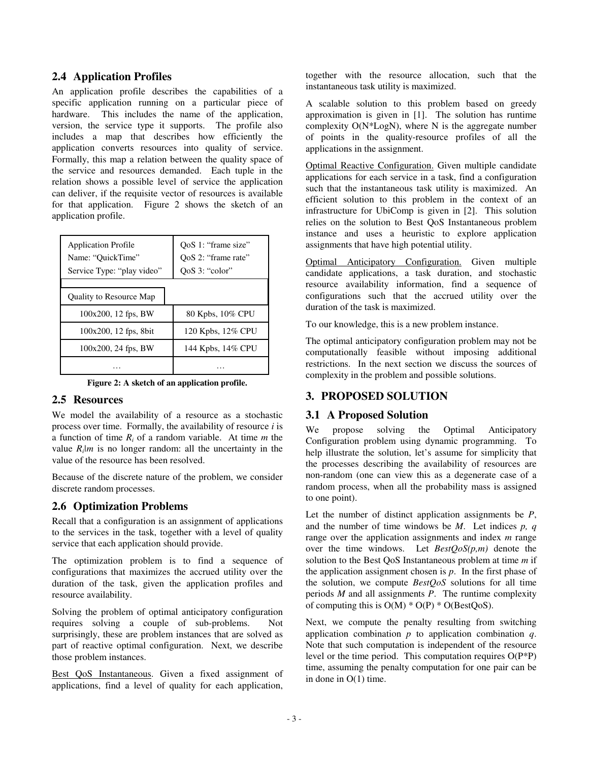## **2.4 Application Profiles**

An application profile describes the capabilities of a specific application running on a particular piece of hardware. This includes the name of the application, version, the service type it supports. The profile also includes a map that describes how efficiently the application converts resources into quality of service. Formally, this map a relation between the quality space of the service and resources demanded. Each tuple in the relation shows a possible level of service the application can deliver, if the requisite vector of resources is available for that application. Figure 2 shows the sketch of an application profile.

| <b>Application Profile</b><br>Name: "QuickTime"<br>Service Type: "play video" | QoS 1: "frame size"<br>OoS 2: "frame rate"<br>$OoS$ 3: "color" |
|-------------------------------------------------------------------------------|----------------------------------------------------------------|
| Quality to Resource Map                                                       |                                                                |
| $100x200$ , 12 fps, BW                                                        | 80 Kpbs, 10% CPU                                               |
| $100x200$ , 12 fps, 8bit                                                      | 120 Kpbs, 12% CPU                                              |
| $100x200$ , 24 fps, BW                                                        | 144 Kpbs, 14% CPU                                              |
|                                                                               |                                                                |

**Figure 2: A sketch of an application profile.**

#### **2.5 Resources**

We model the availability of a resource as a stochastic process over time. Formally, the availability of resource *i* is a function of time *R<sup>i</sup>* of a random variable. At time *m* the value  $R_i|m$  is no longer random: all the uncertainty in the value of the resource has been resolved.

Because of the discrete nature of the problem, we consider discrete random processes.

#### **2.6 Optimization Problems**

Recall that a configuration is an assignment of applications to the services in the task, together with a level of quality service that each application should provide.

The optimization problem is to find a sequence of configurations that maximizes the accrued utility over the duration of the task, given the application profiles and resource availability.

Solving the problem of optimal anticipatory configuration requires solving a couple of sub-problems. Not surprisingly, these are problem instances that are solved as part of reactive optimal configuration. Next, we describe those problem instances.

Best QoS Instantaneous. Given a fixed assignment of applications, find a level of quality for each application,

together with the resource allocation, such that the instantaneous task utility is maximized.

A scalable solution to this problem based on greedy approximation is given in [1]. The solution has runtime complexity O(N\*LogN), where N is the aggregate number of points in the quality-resource profiles of all the applications in the assignment.

Optimal Reactive Configuration. Given multiple candidate applications for each service in a task, find a configuration such that the instantaneous task utility is maximized. An efficient solution to this problem in the context of an infrastructure for UbiComp is given in [2]. This solution relies on the solution to Best QoS Instantaneous problem instance and uses a heuristic to explore application assignments that have high potential utility.

Optimal Anticipatory Configuration. Given multiple candidate applications, a task duration, and stochastic resource availability information, find a sequence of configurations such that the accrued utility over the duration of the task is maximized.

To our knowledge, this is a new problem instance.

The optimal anticipatory configuration problem may not be computationally feasible without imposing additional restrictions. In the next section we discuss the sources of complexity in the problem and possible solutions.

# **3. PROPOSED SOLUTION**

# **3.1 A Proposed Solution**

We propose solving the Optimal Anticipatory Configuration problem using dynamic programming. To help illustrate the solution, let's assume for simplicity that the processes describing the availability of resources are non-random (one can view this as a degenerate case of a random process, when all the probability mass is assigned to one point).

Let the number of distinct application assignments be *P*, and the number of time windows be *M*. Let indices *p, q* range over the application assignments and index *m* range over the time windows. Let *BestQoS(p,m)* denote the solution to the Best QoS Instantaneous problem at time *m* if the application assignment chosen is *p*. In the first phase of the solution, we compute *BestQoS* solutions for all time periods *M* and all assignments *P*. The runtime complexity of computing this is  $O(M) * O(P) * O(BestQoS)$ .

Next, we compute the penalty resulting from switching application combination *p* to application combination *q*. Note that such computation is independent of the resource level or the time period. This computation requires O(P\*P) time, assuming the penalty computation for one pair can be in done in O(1) time.